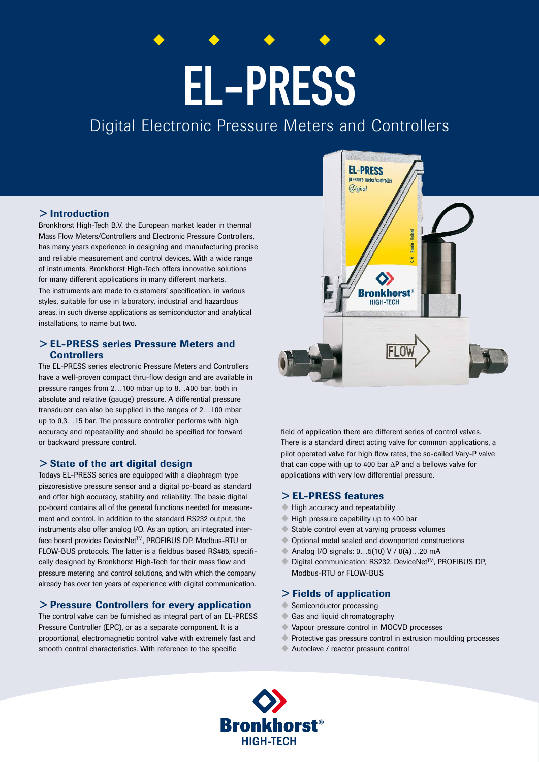# EL-PRESS

# Digital Electronic Pressure Meters and Controllers

# > Introduction

Bronkhorst High-Tech B.V. the European market leader in thermal Mass Flow Meters/Controllers and Electronic Pressure Controllers, has many years experience in designing and manufacturing precise and reliable measurement and control devices. With a wide range of instruments, Bronkhorst High-Tech offers innovative solutions for many different applications in many different markets. The instruments are made to customers' specification, in various styles, suitable for use in laboratory, industrial and hazardous areas, in such diverse applications as semiconductor and analytical installations, to name but two.

# > EL-PRESS series Pressure Meters and **Controllers**

The EL-PRESS series electronic Pressure Meters and Controllers have a well-proven compact thru-flow design and are available in pressure ranges from 2…100 mbar up to 8…400 bar, both in absolute and relative (gauge) pressure. A differential pressure transducer can also be supplied in the ranges of 2…100 mbar up to 0,3…15 bar. The pressure controller performs with high accuracy and repeatability and should be specified for forward or backward pressure control.

### > State of the art digital design

Todays EL-PRESS series are equipped with a diaphragm type piezoresistive pressure sensor and a digital pc-board as standard and offer high accuracy, stability and reliability. The basic digital pc-board contains all of the general functions needed for measurement and control. In addition to the standard RS232 output, the instruments also offer analog I/O. As an option, an integrated interface board provides DeviceNet™, PROFIBUS DP, Modbus-RTU or FLOW-BUS protocols. The latter is a fieldbus based RS485, specifically designed by Bronkhorst High-Tech for their mass flow and pressure metering and control solutions, and with which the company already has over ten years of experience with digital communication.

# > Pressure Controllers for every application

The control valve can be furnished as integral part of an EL-PRESS Pressure Controller (EPC), or as a separate component. It is a proportional, electromagnetic control valve with extremely fast and smooth control characteristics. With reference to the specific



field of application there are different series of control valves. There is a standard direct acting valve for common applications, a pilot operated valve for high flow rates, the so-called Vary-P valve that can cope with up to 400 bar ΔP and a bellows valve for applications with very low differential pressure.

### > EL-PRESS features

- High accuracy and repeatability
- High pressure capability up to 400 bar
- $\blacklozenge$  Stable control even at varying process volumes
- $\bullet$  Optional metal sealed and downported constructions
- ◆ Analog I/O signals: 0...5(10) V / 0(4)...20 mA
- $\bullet$  Digital communication: RS232, DeviceNet<sup>TM</sup>, PROFIBUS DP, Modbus-RTU or FLOW-BUS

### > Fields of application

- $\blacklozenge$  Semiconductor processing
- $\triangle$  Gas and liquid chromatography
- u Vapour pressure control in MOCVD processes
- Protective gas pressure control in extrusion moulding processes
- Autoclave / reactor pressure control

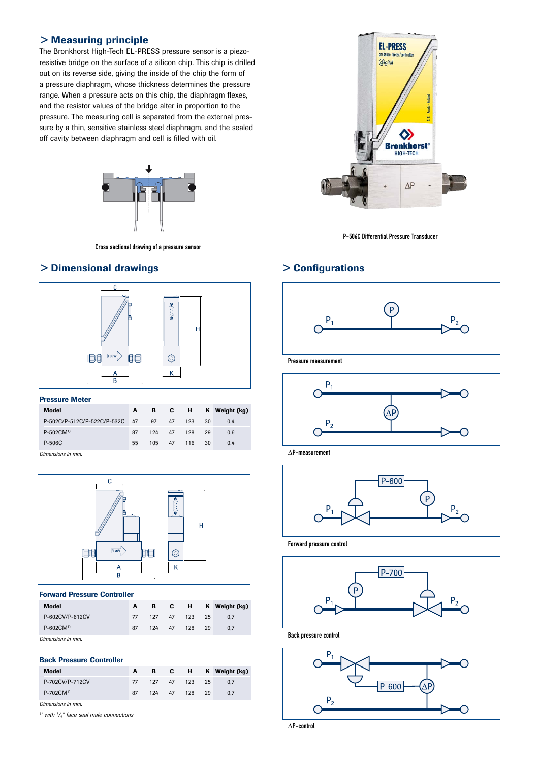# > Measuring principle

The Bronkhorst High-Tech EL-PRESS pressure sensor is a piezoresistive bridge on the surface of a silicon chip. This chip is drilled out on its reverse side, giving the inside of the chip the form of a pressure diaphragm, whose thickness determines the pressure range. When a pressure acts on this chip, the diaphragm flexes, and the resistor values of the bridge alter in proportion to the pressure. The measuring cell is separated from the external pressure by a thin, sensitive stainless steel diaphragm, and the sealed off cavity between diaphragm and cell is filled with oil.



Cross sectional drawing of a pressure sensor

# > Dimensional drawings



### Pressure Meter

| <b>Model</b>                         | A  |        |               |     | B C H K Weight (kg) |
|--------------------------------------|----|--------|---------------|-----|---------------------|
| P-502C/P-512C/P-522C/P-532C 47 97 47 |    |        | 123           | -30 | 0.4                 |
| $P-502$ CM <sup>1</sup>              | 87 | 124 47 | 128 29        |     | 0.6                 |
| P-506C                               | 55 |        | 105 47 116 30 |     | 0.4                 |

*Dimensions in mm.*



### Forward Pressure Controller

| Model                   |    |  |               | B C H K Weight (kg) |
|-------------------------|----|--|---------------|---------------------|
| P-602CV/P-612CV         | 77 |  | 127 47 123 25 | 0.7                 |
| $P-602$ CM <sup>1</sup> | 87 |  | 124 47 128 29 | 0.7                 |
| Dimensions in mm.       |    |  |               |                     |

### Back Pressure Controller

| Model                   |    |  |               | B C H K Weight (kg) |
|-------------------------|----|--|---------------|---------------------|
| P-702CV/P-712CV         |    |  | 127 47 123 25 | 0.7                 |
| $P-702$ CM <sup>1</sup> | 87 |  | 124 47 128 29 | 0.7                 |

*Dimensions in mm.*

*1) with 1 /4" face seal male connections*



P-506C Differential Pressure Transducer

# > Configurations



Pressure measurement



 $\Delta$ P-measurement



Forward pressure control



Back pressure control



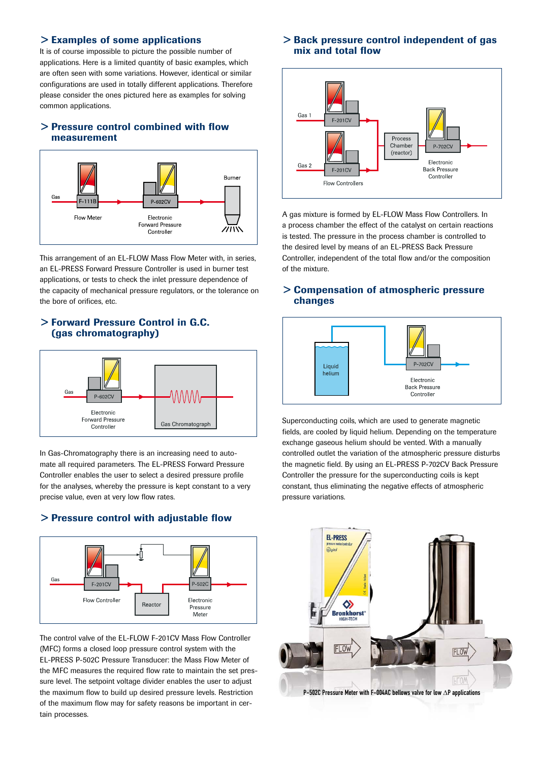### > Examples of some applications

It is of course impossible to picture the possible number of applications. Here is a limited quantity of basic examples, which are often seen with some variations. However, identical or similar configurations are used in totally different applications. Therefore please consider the ones pictured here as examples for solving common applications.

# > Pressure control combined with flow measurement



This arrangement of an EL-FLOW Mass Flow Meter with, in series, an EL-PRESS Forward Pressure Controller is used in burner test applications, or tests to check the inlet pressure dependence of the capacity of mechanical pressure regulators, or the tolerance on the bore of orifices, etc.

# > Forward Pressure Control in G.C. (gas chromatography)



In Gas-Chromatography there is an increasing need to automate all required parameters. The EL-PRESS Forward Pressure Controller enables the user to select a desired pressure profile for the analyses, whereby the pressure is kept constant to a very precise value, even at very low flow rates.

# > Pressure control with adjustable flow



The control valve of the EL-FLOW F-201CV Mass Flow Controller (MFC) forms a closed loop pressure control system with the EL-PRESS P-502C Pressure Transducer: the Mass Flow Meter of the MFC measures the required flow rate to maintain the set pressure level. The setpoint voltage divider enables the user to adjust the maximum flow to build up desired pressure levels. Restriction of the maximum flow may for safety reasons be important in certain processes.

# > Back pressure control independent of gas mix and total flow



A gas mixture is formed by EL-FLOW Mass Flow Controllers. In a process chamber the effect of the catalyst on certain reactions is tested. The pressure in the process chamber is controlled to the desired level by means of an EL-PRESS Back Pressure Controller, independent of the total flow and/or the composition of the mixture.

### > Compensation of atmospheric pressure changes



Superconducting coils, which are used to generate magnetic fields, are cooled by liquid helium. Depending on the temperature exchange gaseous helium should be vented. With a manually controlled outlet the variation of the atmospheric pressure disturbs the magnetic field. By using an EL-PRESS P-702CV Back Pressure Controller the pressure for the superconducting coils is kept constant, thus eliminating the negative effects of atmospheric pressure variations.